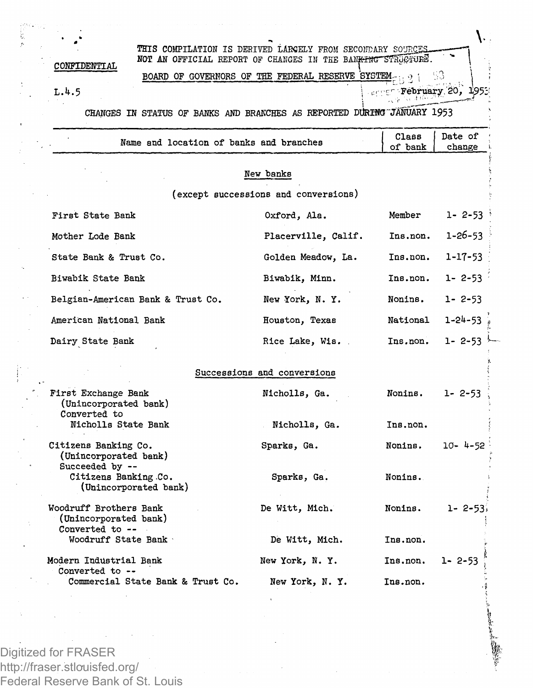١. **THIS COMPILATION IS DERIVED LARGELY FROM SECONDARY SOURCES** NOT AN OFFICIAL REPORT OF CHANGES IN THE BAN<del>KTNG STRUCTURE</del>. **CONFIDENTIAL BOARD OF GOVERNORS OF THE FEDERAL RESERVE SYSTEM.** 53 *L.k.5*  **; v: • February,'20, 195; CHANGES H STATUS OF BANKS AND BRANCHES AS REPORTED DURING"JANUARY 1953**

| Name and location of banks and branches                            |                                      | Class<br>of bank | Date of<br>change |
|--------------------------------------------------------------------|--------------------------------------|------------------|-------------------|
|                                                                    | New banks                            |                  |                   |
|                                                                    | (except successions and conversions) |                  |                   |
| First State Bank                                                   | Oxford, Ala.                         | Member           | $1 - 2 - 53$      |
| Mother Lode Bank                                                   | Placerville, Calif.                  | Ins.non.         | 1-26-53           |
| State Bank & Trust Co.                                             | Golden Meadow, La.                   | Ins.non.         | 1-17-53           |
| Biwabik State Bank                                                 | Biwabik, Minn.                       | Ins.non.         | $1 - 2 - 53$      |
| Belgian-American Bank & Trust Co.                                  | New York, N.Y.                       | Nonins.          | $1 - 2 - 53$      |
| American National Bank                                             | Houston, Texas                       | National         | $1 - 24 - 53$     |
| Dairy State Bank                                                   | Rice Lake, Wis.                      | Ins.non.         | $1 - 2 - 53$      |
|                                                                    | Successions and conversions          |                  |                   |
| First Exchange Bank<br>(Unincorporated bank)<br>Converted to       | Nicholis, Ga.                        | Nonins.          | $1 - 2 - 53$      |
| Nicholls State Bank                                                | Nicholls, Ga.                        | Ins.non.         |                   |
| Citizens Banking Co.<br>(Unincorporated bank)<br>Succeeded by --   | Sparks, Ga.                          | Nonins.          | $10 - 4 - 52$     |
| Citizens Banking Co.<br>(Unincorporated bank)                      | Sparks, Ga.                          | Nonins.          |                   |
| Woodruff Brothers Bank<br>(Unincorporated bank)<br>Converted to -- | De Witt, Mich.                       | Nonins.          | $1 - 2 - 53$      |
| Woodruff State Bank                                                | De Witt, Mich.                       | Ins.non.         |                   |
| Modern Industrial Bank<br>Converted to --                          | New York, N.Y.                       | Ins.non.         | 1- 2-53           |
| Commercial State Bank & Trust Co.                                  | New York, N.Y.                       | Ins.non.         |                   |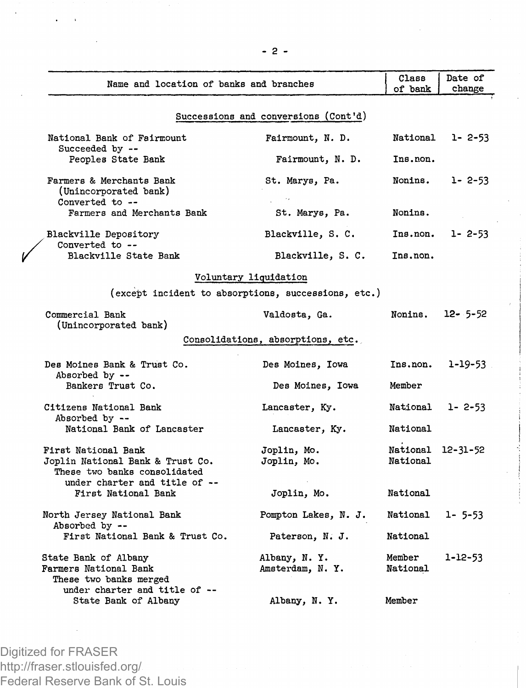| Name and location of banks and branches                                                                                  |                                                     | Class<br>of bank              | Date of<br>change |
|--------------------------------------------------------------------------------------------------------------------------|-----------------------------------------------------|-------------------------------|-------------------|
|                                                                                                                          | Successions and conversions (Cont'd)                |                               |                   |
| National Bank of Fairmount<br>Succeeded by --                                                                            | Fairmount, N. D.                                    | National                      | $1 - 2 - 53$      |
| Peoples State Bank                                                                                                       | Fairmount, N. D.                                    | Ins.non.                      |                   |
| Farmers & Merchants Bank<br>(Unincorporated bank)<br>Converted to --                                                     | St. Marys, Pa.                                      | Nonins.                       | $1 - 2 - 53$      |
| Farmers and Merchants Bank                                                                                               | St. Marys, Pa.                                      | Nonins.                       |                   |
| Blackville Depository<br>Converted to --                                                                                 | Blackville, S. C.                                   | Ins.non.                      | 1- 2-53           |
| Blackville State Bank                                                                                                    | Blackville, S. C.                                   | Ins.non.                      |                   |
|                                                                                                                          | Voluntary liquidation                               |                               |                   |
|                                                                                                                          | (except incident to absorptions, successions, etc.) |                               |                   |
| Commercial Bank<br>(Unincorporated bank)                                                                                 | Valdosta, Ga.                                       | Nonins.                       | $12 - 5 - 52$     |
|                                                                                                                          | Consolidations, absorptions, etc.                   |                               |                   |
| Des Moines Bank & Trust Co.<br>Absorbed by --                                                                            | Des Moines, Iowa                                    | Ins.non.                      | 1-19-53           |
| Bankers Trust Co.                                                                                                        | Des Moines, Iowa                                    | Member                        |                   |
| Citizens National Bank<br>Absorbed by --                                                                                 | Lancaster, Ky.                                      | National                      | $1 - 2 - 53$      |
| National Bank of Lancaster                                                                                               | Lancaster, Ky.                                      | National                      |                   |
| First National Bank<br>Joplin National Bank & Trust Co.<br>These two banks consolidated<br>under charter and title of -- | Joplin, Mo.<br>Joplin, Mo.                          | National 12-31-52<br>National |                   |
| First National Bank                                                                                                      | Joplin, Mo.                                         | National                      |                   |
| North Jersey National Bank<br>Absorbed by --                                                                             | Pompton Lakes, N. J.                                | National                      | 1- 5-53           |
| First National Bank & Trust Co.                                                                                          | Paterson, N. J.                                     | National                      |                   |
| State Bank of Albany<br>Farmers National Bank<br>These two banks merged                                                  | Albany, N.Y.<br>Amsterdam, N.Y.                     | Member<br>National            | 1-12-53           |
| under charter and title of --<br>State Bank of Albany                                                                    | Albany, N.Y.                                        | Member                        |                   |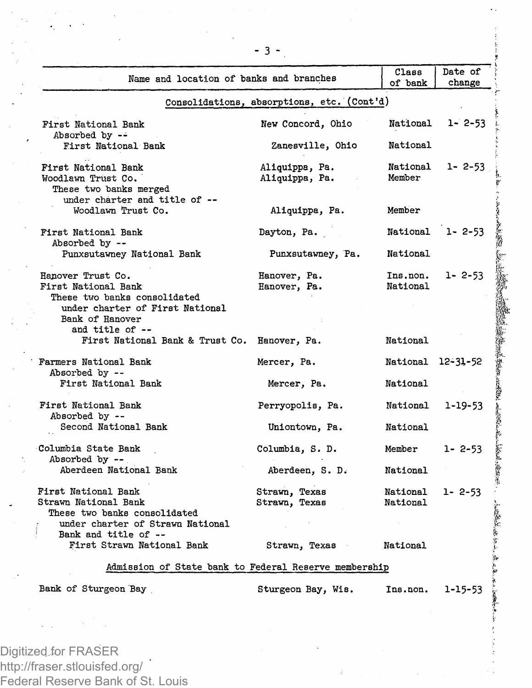| Name and location of banks and branches                                                                                        |                                            | Class<br>of bank     | Date of<br>change |
|--------------------------------------------------------------------------------------------------------------------------------|--------------------------------------------|----------------------|-------------------|
|                                                                                                                                | Consolidations, absorptions, etc. (Cont'd) |                      |                   |
| First National Bank<br>Absorbed by --                                                                                          | New Concord, Ohio                          | National             | $1 - 2 - 53$      |
| First National Bank                                                                                                            | Zanesville, Ohio                           | National             |                   |
| First National Bank<br>Woodlawn Trust Co.<br>These two banks merged<br>under charter and title of --                           | Aliquippa, Pa.<br>Aliquippa, Pa.           | National<br>Member   | $1 - 2 - 53$      |
| Woodlawn Trust Co.                                                                                                             | Aliquippa, Pa.                             | Member               |                   |
| First National Bank<br>Absorbed by --                                                                                          | Dayton, Pa.                                |                      | National 1-2-53   |
| Punxsutawney National Bank                                                                                                     | Punxsutawney, Pa.                          | National             |                   |
| Hanover Trust Co.<br>First National Bank<br>These two banks consolidated<br>under charter of First National<br>Bank of Hanover | Hanover, Pa.<br>Hanover, Pa.               | Ins.non.<br>National | $1 - 2 - 53$      |
| and title of --<br>First National Bank & Trust Co.                                                                             | Hanover, Pa.                               | National             |                   |
| Farmers National Bank<br>Absorbed by --                                                                                        | Mercer, Pa.                                | National 12-31-52    |                   |
| First National Bank                                                                                                            | Mercer, Pa.                                | National             |                   |
| First National Bank<br>Absorbed by --                                                                                          | Perryopolis, Pa.                           | National 1-19-53     |                   |
| Second National Bank                                                                                                           | Uniontown, Pa.                             | National             |                   |
| Columbia State Bank<br>Absorbed by --                                                                                          | Columbia, S. D.                            | Member               | $1 - 2 - 53$      |
| Aberdeen National Bank                                                                                                         | Aberdeen, S. D.                            | National             |                   |
| First National Bank<br>Strawn National Bank<br>These two banks consolidated<br>under charter of Strawn National                | Strawn, Texas<br>Strawn, Texas             | National<br>National | $1 - 2 - 53$      |
| Bank and title of --<br>First Strawn National Bank                                                                             | Strawn, Texas                              | National             |                   |
| Admission of State bank to Federal Reserve membership                                                                          |                                            |                      |                   |
| Bank of Sturgeon Bay                                                                                                           | Sturgeon Bay, Wis.                         | Ins.non.             | $1 - 15 - 53$     |
|                                                                                                                                |                                            |                      |                   |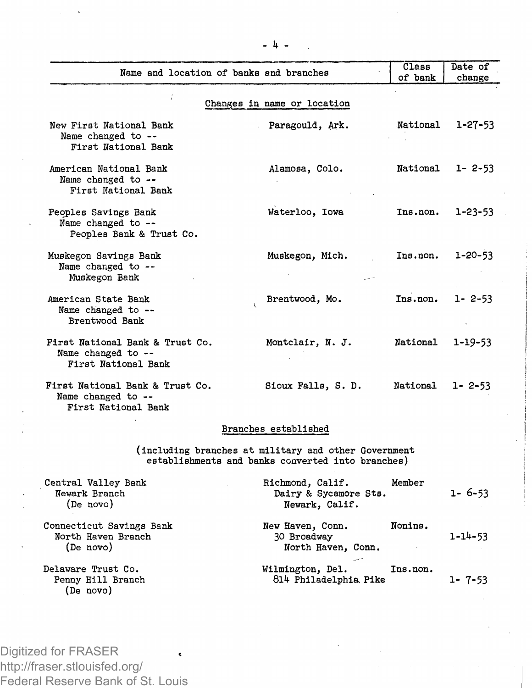|                                                                              |                                                                                                           | Class           | Date of       |
|------------------------------------------------------------------------------|-----------------------------------------------------------------------------------------------------------|-----------------|---------------|
| Name and location of banks and branches                                      |                                                                                                           | of bank         | change        |
|                                                                              |                                                                                                           |                 |               |
|                                                                              | Changes in name or location                                                                               |                 |               |
| New First National Bank<br>Name changed to --<br>First National Bank         | Paragould, Ark.                                                                                           | National        | $1 - 27 - 53$ |
| American National Bank<br>Name changed to --<br>First National Bank          | Alamosa, Colo.                                                                                            | National        | $1 - 2 - 53$  |
| Peoples Savings Bank<br>Name changed to --<br>Peoples Bank & Trust Co.       | Waterloo, Iowa                                                                                            | Ins.non.        | $1 - 23 - 53$ |
| Muskegon Savings Bank<br>Name changed to --<br>Muskegon Bank                 | Muskegon, Mich.                                                                                           | Ins.non.        | $1 - 20 - 53$ |
| American State Bank<br>Name changed to --<br>Brentwood Bank                  | Brentwood, Mo.                                                                                            | Ins.non.        | $1 - 2 - 53$  |
| First National Bank & Trust Co.<br>Name changed to --<br>First National Bank | Montclair, N. J.                                                                                          | National        | 1-19-53       |
| First National Bank & Trust Co.<br>Name changed to --<br>First National Bank | Sioux Falls, S. D.                                                                                        | <b>National</b> | $1 - 2 - 53$  |
|                                                                              | Branches established                                                                                      |                 |               |
|                                                                              | (including branches at military and other Government<br>establishments and banks converted into branches) |                 |               |
| Central Valley Bank<br>Newark Branch<br>(De novo)                            | Richmond, Calif.<br>Dairy & Sycamore Sts.<br>Newark, Calif.                                               | Member          | $1 - 6 - 53$  |
| Connecticut Savings Bank<br>North Haven Branch<br>(De novo)                  | New Haven, Conn.<br>30 Broadway<br>North Haven, Conn.                                                     | Nonins.         | $1 - 14 - 53$ |
| Delaware Trust Co.<br>Penny Hill Branch<br>(De novo)                         | Wilmington, Del.<br>814 Philadelphia Pike                                                                 | Ins.non.        | $1 - 7 - 53$  |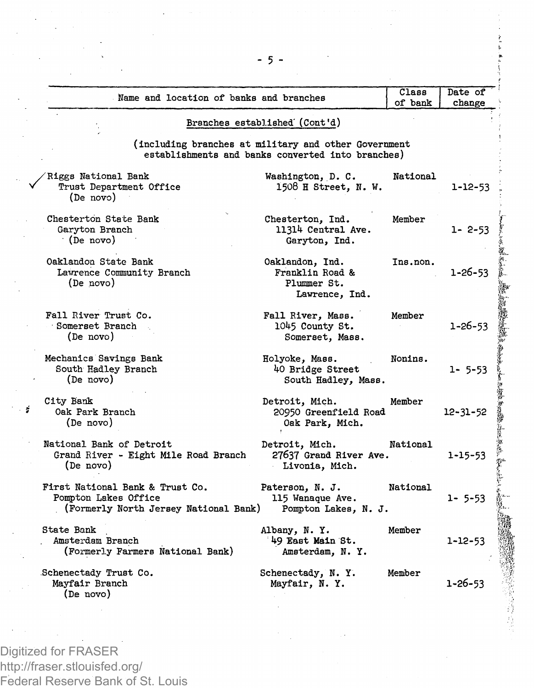| Name and location of banks and branches                                                          |                                                                                                           | Class<br>of bank | Date of<br>change |
|--------------------------------------------------------------------------------------------------|-----------------------------------------------------------------------------------------------------------|------------------|-------------------|
|                                                                                                  | Branches established (Cont'd)                                                                             |                  |                   |
|                                                                                                  | (including branches at military and other Government<br>establishments and banks converted into branches) |                  |                   |
| Riggs National Bank<br>Trust Department Office<br>(De novo)                                      | Washington, D. C.<br>1508 H Street, N. W.                                                                 | National         | 1-12-53           |
| Chesterton State Bank<br>Garyton Branch<br>(De novo)                                             | Chesterton, Ind.<br>11314 Central Ave.<br>Garyton, Ind.                                                   | Member           | $1 - 2 - 53$      |
| Oaklandon State Bank<br>Lawrence Community Branch<br>(De novo)                                   | Oaklandon, Ind.<br>Franklin Road &<br>Plummer St.<br>Lawrence. Ind.                                       | Ins.non.         | $1 - 26 - 53$     |
| Fall River Trust Co.<br>Somerset Branch<br>(De novo)                                             | Fall River, Mass.<br>1045 County St.<br>Somerset, Mass.                                                   | Member           | $1 - 26 - 53$     |
| Mechanics Savings Bank<br>South Hadley Branch<br>(De novo)                                       | Holyoke, Mass.<br>40 Bridge Street<br>South Hadley, Mass.                                                 | Nonins.          | $1 - 5 - 53$      |
| City Bank<br>Oak Park Branch<br>(De novo)                                                        | Detroit, Mich.<br>20950 Greenfield Road<br>Oak Park, Mich.                                                | Member           | $12 - 31 - 52$    |
| National Bank of Detroit<br>Grand River - Eight Mile Road Branch<br>(De novo)                    | Detroit, Mich.<br>27637 Grand River Ave.<br>Livonia, Mich.                                                | National         | 1-15-53           |
| First National Bank & Trust Co.<br>Pompton Lakes Office<br>(Formerly North Jersey National Bank) | Paterson, N. J.<br>115 Wanaque Ave.<br>Pompton Lakes, N. J.                                               | National         | $1 - 5 - 53$      |
| State Bank<br>Amsterdam Branch<br>(Formerly Farmers National Bank)                               | Albany, N.Y.<br>49 East Main St.<br>Amsterdam, N.Y.                                                       | Member           | 1-12-53           |
| Schenectady Trust Co.<br>Mayfair Branch                                                          | Schenectady, N.Y.<br>Mayfair, N. Y.                                                                       | Member           | $1 - 26 - 53$     |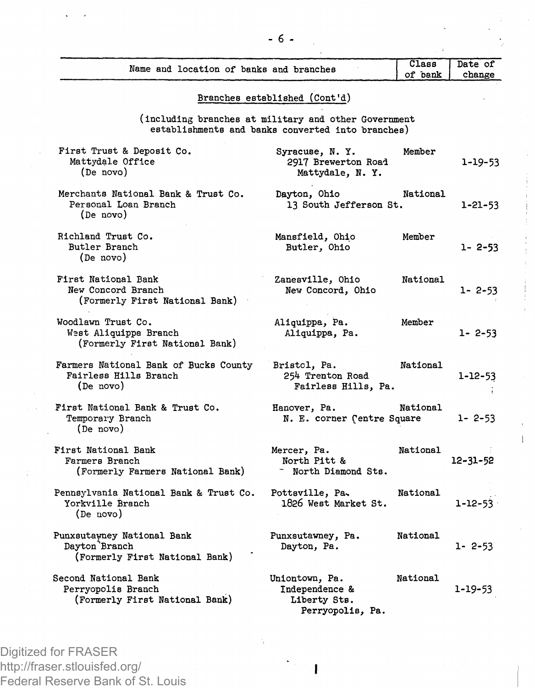| Name and location of banks and branches                                       |                                                                                                           | Class<br>of bank | Date of<br>change |
|-------------------------------------------------------------------------------|-----------------------------------------------------------------------------------------------------------|------------------|-------------------|
|                                                                               | Branches established (Cont'd)                                                                             |                  |                   |
|                                                                               | (including branches at military and other Government<br>establishments and banks converted into branches) |                  |                   |
| First Trust & Deposit Co.<br>Mattydale Office<br>(De novo)                    | Syracuse, N.Y.<br>2917 Brewerton Road<br>Mattydale, N.Y.                                                  | Member           | 1-19-53           |
| Merchants National Bank & Trust Co.<br>Personal Loan Branch<br>(De novo)      | Dayton, Ohio<br>13 South Jefferson St.                                                                    | National         | 1-21-53           |
| Richland Trust Co.<br>Butler Branch<br>(De novo)                              | Mansfield, Ohio<br>Butler, Ohio                                                                           | Member           | $1 - 2 - 53$      |
| First National Bank<br>New Concord Branch<br>(Formerly First National Bank)   | Zanesville, Ohio<br>New Concord, Ohio                                                                     | National         | $1 - 2 - 53$      |
| Woodlawn Trust Co.<br>West Aliquippa Branch<br>(Formerly First National Bank) | Aliquippa, Pa.<br>Aliquippa, Pa.                                                                          | Member           | $1 - 2 - 53$      |
| Farmers National Bank of Bucks County<br>Fairless Hills Branch<br>(De novo)   | Bristol, Pa.<br>254 Trenton Road<br>Fairless Hills, Pa.                                                   | National         | 1-12-53           |
| First National Bank & Trust Co.<br>Temporary Branch<br>(De novo)              | Hanover, Pa.<br>N. E. corner (entre Square                                                                | National         | $1 - 2 - 53$      |
| First National Bank<br>Farmers Branch<br>(Formerly Farmers National Bank)     | Mercer, Pa.<br>North Pitt &<br>- North Diamond Sts.                                                       | National         | 12-31-52          |
| Pennsylvania National Bank & Trust Co.<br>Yorkville Branch<br>(De novo)       | Pottsville, Pa.<br>1826 West Market St.                                                                   | National         | $1 - 12 - 53$     |
| Punxsutawney National Bank<br>Dayton Branch<br>(Formerly First National Bank) | Punxsutawney, Pa.<br>Dayton, Pa.                                                                          | National         | 1- 2-53           |
| Second National Bank<br>Perryopolis Branch<br>(Formerly First National Bank)  | Uniontown, Pa.<br>Independence &<br>Liberty Sts.<br>Perryopolis, Pa.                                      | National         | 1-19-53           |

**I**